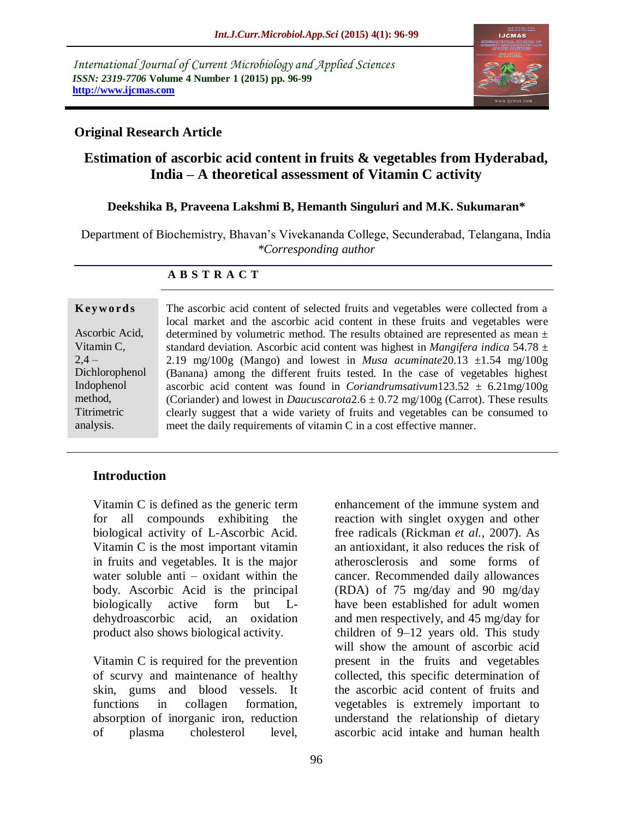*International Journal of Current Microbiology and Applied Sciences ISSN: 2319-7706* **Volume 4 Number 1 (2015) pp. 96-99 http://www.ijcmas.com** 



### **Original Research Article**

# **Estimation of ascorbic acid content in fruits & vegetables from Hyderabad, India – A theoretical assessment of Vitamin C activity**

### **Deekshika B, Praveena Lakshmi B, Hemanth Singuluri and M.K. Sukumaran\***

Department of Biochemistry, Bhavan's Vivekananda College, Secunderabad, Telangana, India *\*Corresponding author* 

#### **A B S T R A C T**

| Keywords |  |  |  |
|----------|--|--|--|
|          |  |  |  |

Ascorbic Acid, Vitamin C,  $2.4 -$ Dichlorophenol Indophenol method, **Titrimetric** analysis.

The ascorbic acid content of selected fruits and vegetables were collected from a local market and the ascorbic acid content in these fruits and vegetables were determined by volumetric method. The results obtained are represented as mean ± standard deviation. Ascorbic acid content was highest in *Mangifera indica* 54.78 ± 2.19 mg/100g (Mango) and lowest in *Musa acuminate* 20.13  $\pm 1.54$  mg/100g (Banana) among the different fruits tested. In the case of vegetables highest ascorbic acid content was found in *Coriandrumsativum*  $123.52 \pm 6.21$  mg/ $100$  g (Coriander) and lowest in *Daucuscarota* $2.6 \pm 0.72$  mg/100g (Carrot). These results clearly suggest that a wide variety of fruits and vegetables can be consumed to meet the daily requirements of vitamin C in a cost effective manner.

### **Introduction**

Vitamin C is defined as the generic term for all compounds exhibiting the biological activity of L-Ascorbic Acid. Vitamin C is the most important vitamin in fruits and vegetables. It is the major water soluble anti – oxidant within the body. Ascorbic Acid is the principal biologically active form but Ldehydroascorbic acid, an oxidation product also shows biological activity.

Vitamin C is required for the prevention of scurvy and maintenance of healthy skin, gums and blood vessels. It functions in collagen formation, absorption of inorganic iron, reduction of plasma cholesterol level,

enhancement of the immune system and reaction with singlet oxygen and other free radicals (Rickman *et al.,* 2007). As an antioxidant, it also reduces the risk of atherosclerosis and some forms of cancer. Recommended daily allowances (RDA) of 75 mg/day and 90 mg/day have been established for adult women and men respectively, and 45 mg/day for children of 9–12 years old. This study will show the amount of ascorbic acid present in the fruits and vegetables collected, this specific determination of the ascorbic acid content of fruits and vegetables is extremely important to understand the relationship of dietary ascorbic acid intake and human health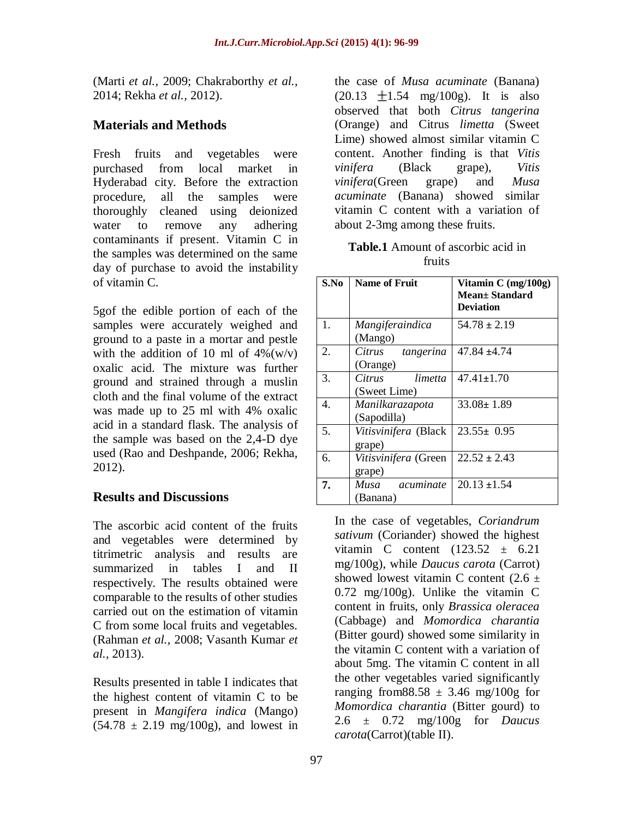(Marti *et al.,* 2009; Chakraborthy *et al.,* 2014; Rekha *et al.,* 2012).

# **Materials and Methods**

Fresh fruits and vegetables were purchased from local market in Hyderabad city. Before the extraction procedure, all the samples were thoroughly cleaned using deionized water to remove any adhering contaminants if present. Vitamin C in the samples was determined on the same day of purchase to avoid the instability of vitamin C.

5gof the edible portion of each of the samples were accurately weighed and ground to a paste in a mortar and pestle with the addition of 10 ml of  $4\%$ (w/v) oxalic acid. The mixture was further ground and strained through a muslin cloth and the final volume of the extract was made up to 25 ml with 4% oxalic acid in a standard flask. The analysis of the sample was based on the 2,4-D dye used (Rao and Deshpande, 2006; Rekha, 2012).

## **Results and Discussions**

The ascorbic acid content of the fruits and vegetables were determined by titrimetric analysis and results are summarized in tables I and II respectively. The results obtained were comparable to the results of other studies carried out on the estimation of vitamin C from some local fruits and vegetables. (Rahman *et al.,* 2008; Vasanth Kumar *et al.,* 2013).

Results presented in table I indicates that the highest content of vitamin C to be present in *Mangifera indica* (Mango)  $(54.78 \pm 2.19 \text{ mg}/100 \text{g})$ , and lowest in

the case of *Musa acuminate* (Banana)  $(20.13 \pm 1.54 \text{ mg}/100 \text{g})$ . It is also observed that both *Citrus tangerina* (Orange) and Citrus *limetta* (Sweet Lime) showed almost similar vitamin C content. Another finding is that *Vitis vinifera* (Black grape), *Vitis vinifera*(Green grape) and *Musa acuminate* (Banana) showed similar vitamin C content with a variation of about 2-3mg among these fruits.

**Table.1** Amount of ascorbic acid in fruits

| S.No | <b>Name of Fruit</b>              | Vitamin C (mg/100g)<br><b>Mean</b> + Standard<br><b>Deviation</b> |
|------|-----------------------------------|-------------------------------------------------------------------|
| 1.   | Mangiferaindica<br>(Mango)        | $54.78 \pm 2.19$                                                  |
| 2.   | Citrus tangerina<br>(Orange)      | $47.84 \pm 4.74$                                                  |
| 3.   | Citrus<br>limetta<br>(Sweet Lime) | $47.41 \pm 1.70$                                                  |
| 4.   | Manilkarazapota<br>(Sapodilla)    | $33.08 \pm 1.89$                                                  |
| 5.   | Vitisvinifera (Black<br>grape)    | $23.55 \pm 0.95$                                                  |
| б.   | Vitisvinifera (Green<br>grape)    | $22.52 \pm 2.43$                                                  |
| 7.   | Musa<br>acuminate<br>(Banana)     | $20.13 \pm 1.54$                                                  |

In the case of vegetables, *Coriandrum sativum* (Coriander) showed the highest vitamin C content  $(123.52 \pm 6.21)$ mg/100g), while *Daucus carota* (Carrot) showed lowest vitamin C content  $(2.6 \pm$ 0.72 mg/100g). Unlike the vitamin C content in fruits, only *Brassica oleracea* (Cabbage) and *Momordica charantia* (Bitter gourd) showed some similarity in the vitamin C content with a variation of about 5mg. The vitamin C content in all the other vegetables varied significantly ranging from 88.58  $\pm$  3.46 mg/100g for *Momordica charantia* (Bitter gourd) to 2.6 ± 0.72 mg/100g for *Daucus carota*(Carrot)(table II).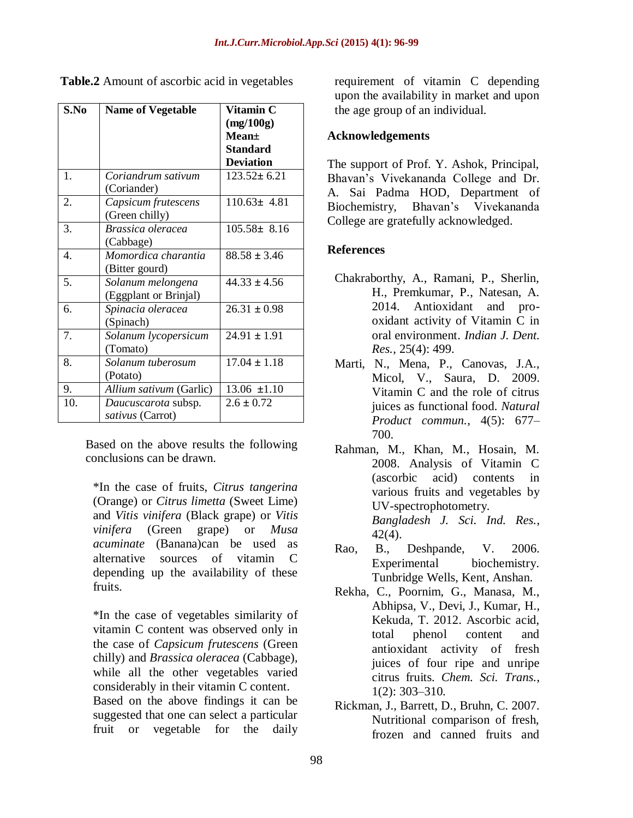| S.No | <b>Name of Vegetable</b>                   | Vitamin C<br>(mg/100g)<br><b>Mean</b> ±<br><b>Standard</b><br><b>Deviation</b> |
|------|--------------------------------------------|--------------------------------------------------------------------------------|
| 1.   | Coriandrum sativum<br>(Coriander)          | $123.52 \pm 6.21$                                                              |
| 2.   | Capsicum frutescens<br>(Green chilly)      | $110.63 \pm 4.81$                                                              |
| 3.   | Brassica oleracea<br>(Cabbage)             | $105.58 \pm 8.16$                                                              |
| 4.   | Momordica charantia<br>(Bitter gourd)      | $88.58 \pm 3.46$                                                               |
| 5.   | Solanum melongena<br>(Eggplant or Brinjal) | $44.33 \pm 4.56$                                                               |
| 6.   | Spinacia oleracea<br>(Spinach)             | $26.31 \pm 0.98$                                                               |
| 7.   | Solanum lycopersicum<br>(Tomato)           | $24.91 \pm 1.91$                                                               |
| 8.   | Solanum tuberosum<br>(Potato)              | $17.04 \pm 1.18$                                                               |
| 9.   | Allium sativum (Garlic)                    | $13.06 \pm 1.10$                                                               |
| 10.  | Daucuscarota subsp.<br>sativus (Carrot)    | $2.6 \pm 0.72$                                                                 |

**Table.2** Amount of ascorbic acid in vegetables

Based on the above results the following conclusions can be drawn.

\*In the case of fruits, *Citrus tangerina* (Orange) or *Citrus limetta* (Sweet Lime) and *Vitis vinifera* (Black grape) or *Vitis vinifera* (Green grape) or *Musa acuminate* (Banana)can be used as alternative sources of vitamin C depending up the availability of these fruits.

\*In the case of vegetables similarity of vitamin C content was observed only in the case of *Capsicum frutescens* (Green chilly) and *Brassica oleracea* (Cabbage), while all the other vegetables varied considerably in their vitamin C content. Based on the above findings it can be suggested that one can select a particular fruit or vegetable for the daily

requirement of vitamin C depending upon the availability in market and upon the age group of an individual.

#### **Acknowledgements**

The support of Prof. Y. Ashok, Principal, Bhavan's Vivekananda College and Dr. A. Sai Padma HOD, Department of Biochemistry, Bhavan's Vivekananda College are gratefully acknowledged.

### **References**

- Chakraborthy, A., Ramani, P., Sherlin, H., Premkumar, P., Natesan, A. 2014. Antioxidant and prooxidant activity of Vitamin C in oral environment. *Indian J. Dent. Res.*, 25(4): 499.
- Marti, N., Mena, P., Canovas, J.A., Micol, V., Saura, D. 2009. Vitamin C and the role of citrus juices as functional food. *Natural Product commun.*, 4(5): 677– 700.
- Rahman, M., Khan, M., Hosain, M. 2008. Analysis of Vitamin C (ascorbic acid) contents in various fruits and vegetables by UV-spectrophotometry. *Bangladesh J. Sci. Ind. Res.,* 42(4).
- Rao, B., Deshpande, V. 2006. Experimental biochemistry. Tunbridge Wells, Kent, Anshan.
- Rekha, C., Poornim, G., Manasa, M., Abhipsa, V., Devi, J., Kumar, H., Kekuda, T. 2012. Ascorbic acid, total phenol content and antioxidant activity of fresh juices of four ripe and unripe citrus fruits. *Chem. Sci. Trans.*, 1(2): 303–310.
- Rickman, J., Barrett, D., Bruhn, C. 2007. Nutritional comparison of fresh, frozen and canned fruits and